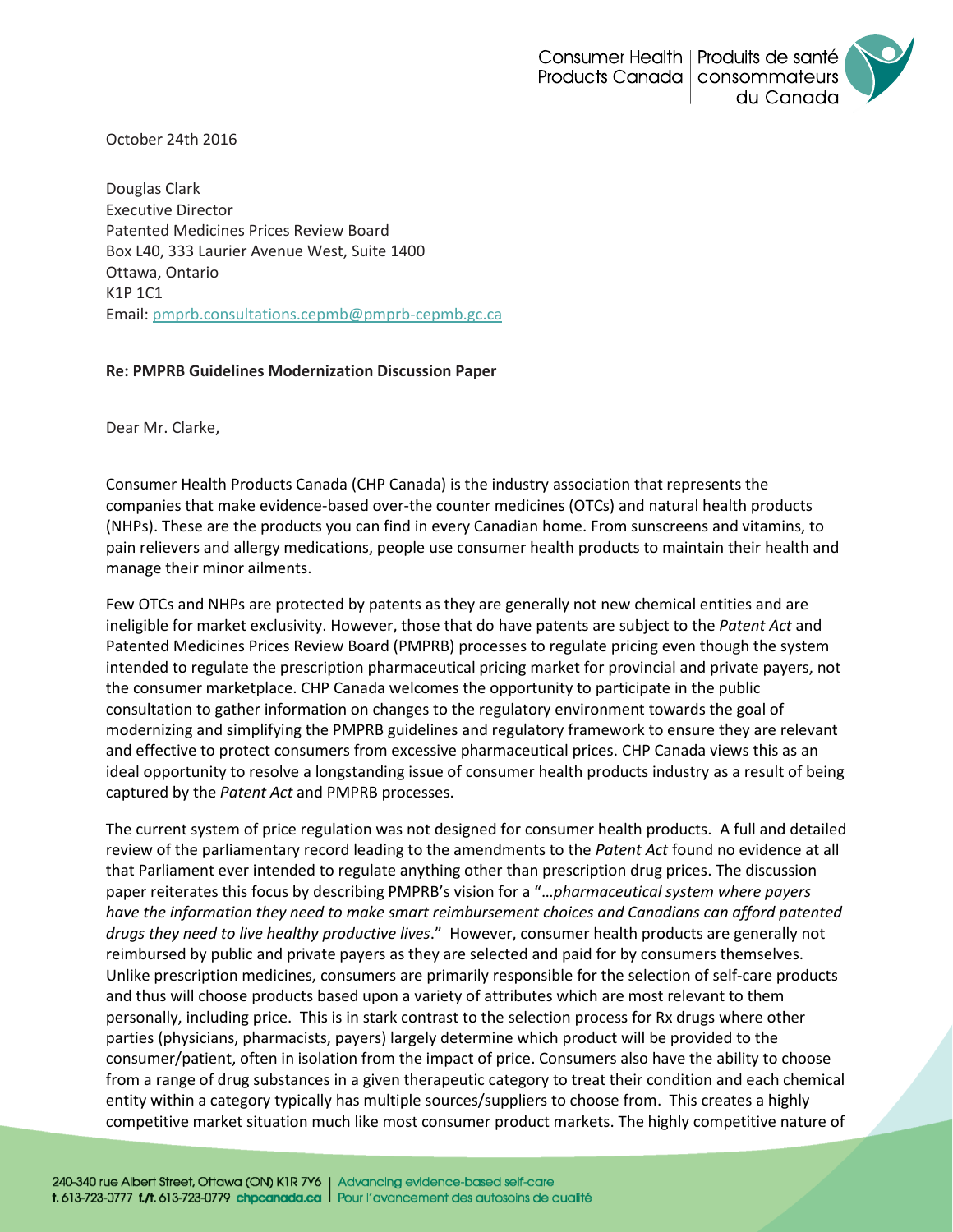October 24th 2016

Douglas Clark Executive Director Patented Medicines Prices Review Board Box L40, 333 Laurier Avenue West, Suite 1400 Ottawa, Ontario K1P 1C1 Email: [pmprb.consultations.cepmb@pmprb-cepmb.gc.ca](mailto:pmprb.consultations.cepmb@pmprb-cepmb.gc.ca)

## **Re: PMPRB Guidelines Modernization Discussion Paper**

Dear Mr. Clarke,

Consumer Health Products Canada (CHP Canada) is the industry association that represents the companies that make evidence-based over-the counter medicines (OTCs) and natural health products (NHPs). These are the products you can find in every Canadian home. From sunscreens and vitamins, to pain relievers and allergy medications, people use consumer health products to maintain their health and manage their minor ailments.

Few OTCs and NHPs are protected by patents as they are generally not new chemical entities and are ineligible for market exclusivity. However, those that do have patents are subject to the *Patent Act* and Patented Medicines Prices Review Board (PMPRB) processes to regulate pricing even though the system intended to regulate the prescription pharmaceutical pricing market for provincial and private payers, not the consumer marketplace. CHP Canada welcomes the opportunity to participate in the public consultation to gather information on changes to the regulatory environment towards the goal of modernizing and simplifying the PMPRB guidelines and regulatory framework to ensure they are relevant and effective to protect consumers from excessive pharmaceutical prices. CHP Canada views this as an ideal opportunity to resolve a longstanding issue of consumer health products industry as a result of being captured by the *Patent Act* and PMPRB processes.

The current system of price regulation was not designed for consumer health products. A full and detailed review of the parliamentary record leading to the amendments to the *Patent Act* found no evidence at all that Parliament ever intended to regulate anything other than prescription drug prices. The discussion paper reiterates this focus by describing PMPRB's vision for a "…*pharmaceutical system where payers have the information they need to make smart reimbursement choices and Canadians can afford patented drugs they need to live healthy productive lives*." However, consumer health products are generally not reimbursed by public and private payers as they are selected and paid for by consumers themselves. Unlike prescription medicines, consumers are primarily responsible for the selection of self-care products and thus will choose products based upon a variety of attributes which are most relevant to them personally, including price. This is in stark contrast to the selection process for Rx drugs where other parties (physicians, pharmacists, payers) largely determine which product will be provided to the consumer/patient, often in isolation from the impact of price. Consumers also have the ability to choose from a range of drug substances in a given therapeutic category to treat their condition and each chemical entity within a category typically has multiple sources/suppliers to choose from. This creates a highly competitive market situation much like most consumer product markets. The highly competitive nature of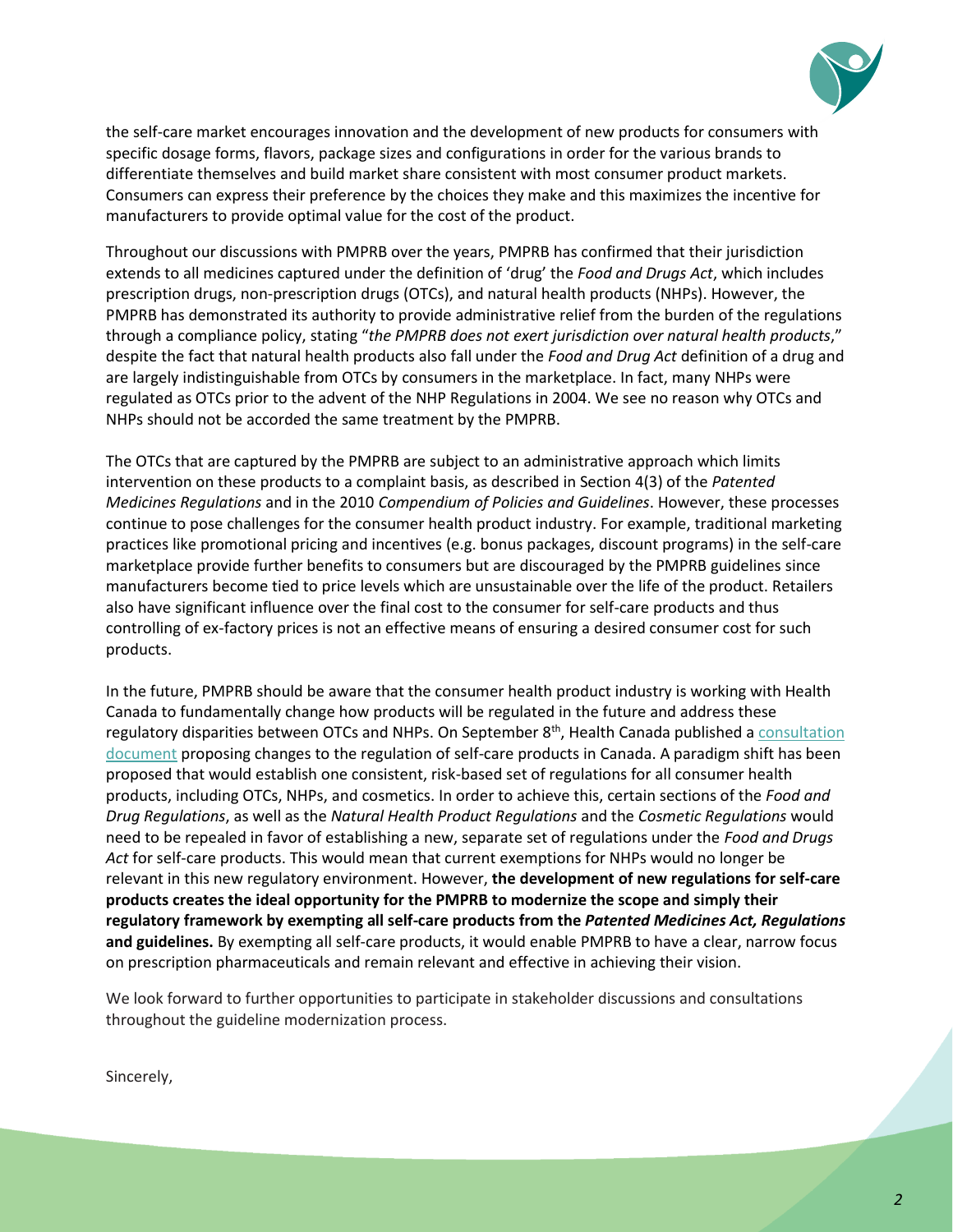

the self-care market encourages innovation and the development of new products for consumers with specific dosage forms, flavors, package sizes and configurations in order for the various brands to differentiate themselves and build market share consistent with most consumer product markets. Consumers can express their preference by the choices they make and this maximizes the incentive for manufacturers to provide optimal value for the cost of the product.

Throughout our discussions with PMPRB over the years, PMPRB has confirmed that their jurisdiction extends to all medicines captured under the definition of 'drug' the *Food and Drugs Act*, which includes prescription drugs, non-prescription drugs (OTCs), and natural health products (NHPs). However, the PMPRB has demonstrated its authority to provide administrative relief from the burden of the regulations through a compliance policy, stating "*the PMPRB does not exert jurisdiction over natural health products*," despite the fact that natural health products also fall under the *Food and Drug Act* definition of a drug and are largely indistinguishable from OTCs by consumers in the marketplace. In fact, many NHPs were regulated as OTCs prior to the advent of the NHP Regulations in 2004. We see no reason why OTCs and NHPs should not be accorded the same treatment by the PMPRB.

The OTCs that are captured by the PMPRB are subject to an administrative approach which limits intervention on these products to a complaint basis, as described in Section 4(3) of the *Patented Medicines Regulations* and in the 2010 *Compendium of Policies and Guidelines*. However, these processes continue to pose challenges for the consumer health product industry. For example, traditional marketing practices like promotional pricing and incentives (e.g. bonus packages, discount programs) in the self-care marketplace provide further benefits to consumers but are discouraged by the PMPRB guidelines since manufacturers become tied to price levels which are unsustainable over the life of the product. Retailers also have significant influence over the final cost to the consumer for self-care products and thus controlling of ex-factory prices is not an effective means of ensuring a desired consumer cost for such products.

In the future, PMPRB should be aware that the consumer health product industry is working with Health Canada to fundamentally change how products will be regulated in the future and address these regulatory disparities between OTCs and NHPs. On September 8<sup>th</sup>, Health Canada published a consultation [document](http://healthycanadians.gc.ca/health-system-systeme-sante/consultations/selfcare-autosoins/document-eng.php) proposing changes to the regulation of self-care products in Canada. A paradigm shift has been proposed that would establish one consistent, risk-based set of regulations for all consumer health products, including OTCs, NHPs, and cosmetics. In order to achieve this, certain sections of the *Food and Drug Regulations*, as well as the *Natural Health Product Regulations* and the *Cosmetic Regulations* would need to be repealed in favor of establishing a new, separate set of regulations under the *Food and Drugs Act* for self-care products. This would mean that current exemptions for NHPs would no longer be relevant in this new regulatory environment. However, **the development of new regulations for self-care products creates the ideal opportunity for the PMPRB to modernize the scope and simply their regulatory framework by exempting all self-care products from the** *Patented Medicines Act, Regulations*  **and guidelines.** By exempting all self-care products, it would enable PMPRB to have a clear, narrow focus on prescription pharmaceuticals and remain relevant and effective in achieving their vision.

We look forward to further opportunities to participate in stakeholder discussions and consultations throughout the guideline modernization process.

Sincerely,